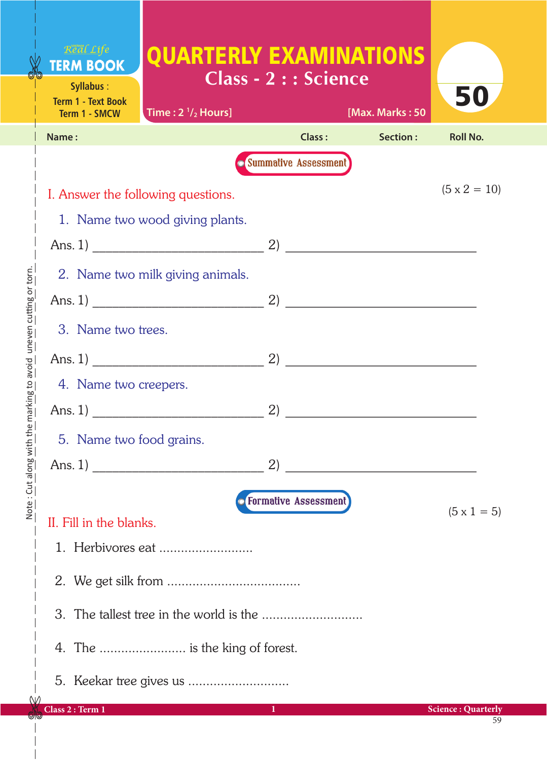|                                            | Real Life<br><b>TERM BOOK</b>                           | <b>QUARTERLY EXAMINATIONS</b><br><b>Class - 2 : : Science</b> |                               |                           |                           |  |
|--------------------------------------------|---------------------------------------------------------|---------------------------------------------------------------|-------------------------------|---------------------------|---------------------------|--|
|                                            | Syllabus:<br><b>Term 1 - Text Book</b><br>Term 1 - SMCW | Time: $2 \frac{1}{2}$ Hours]                                  |                               | [Max. Marks: 50           | 50                        |  |
|                                            | Name:                                                   |                                                               |                               | <b>Class:</b><br>Section: | <b>Roll No.</b>           |  |
|                                            |                                                         |                                                               | <b>O</b> Summative Assessment |                           |                           |  |
|                                            | I. Answer the following questions.                      | $(5 \times 2 = 10)$                                           |                               |                           |                           |  |
|                                            | 1. Name two wood giving plants.                         |                                                               |                               |                           |                           |  |
|                                            |                                                         |                                                               |                               |                           |                           |  |
|                                            | 2. Name two milk giving animals.                        |                                                               |                               |                           |                           |  |
|                                            |                                                         | Ans. 1) $\qquad \qquad$ (2) $\qquad \qquad$ (2)               |                               |                           |                           |  |
| the marking to avoid uneen cutting or torn | 3. Name two trees.                                      |                                                               |                               |                           |                           |  |
|                                            |                                                         |                                                               |                               |                           |                           |  |
|                                            | 4. Name two creepers.                                   |                                                               |                               |                           |                           |  |
|                                            |                                                         |                                                               |                               |                           |                           |  |
|                                            | 5. Name two food grains.                                |                                                               |                               |                           |                           |  |
|                                            |                                                         | Ans. 1)                                                       | 2)                            |                           |                           |  |
| Mote : Chi suoug Mitr                      |                                                         |                                                               | <b>O</b> Formative Assessment |                           |                           |  |
|                                            | II. Fill in the blanks.                                 | $(5 \times 1 = 5)$                                            |                               |                           |                           |  |
|                                            |                                                         |                                                               |                               |                           |                           |  |
|                                            |                                                         |                                                               |                               |                           |                           |  |
|                                            |                                                         |                                                               |                               |                           |                           |  |
|                                            | 4. The  is the king of forest.                          |                                                               |                               |                           |                           |  |
| W                                          |                                                         |                                                               |                               |                           |                           |  |
| VP                                         | Class 2: Term 1                                         |                                                               | 1                             |                           | <b>Science: Quarterly</b> |  |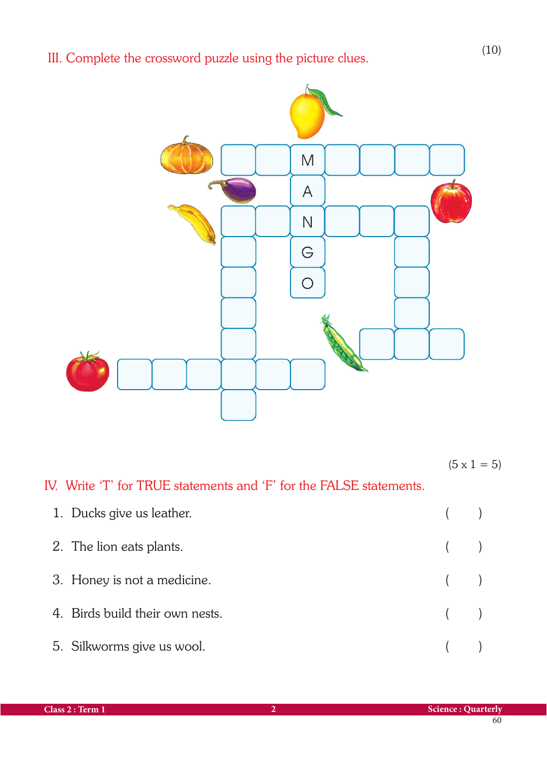III. Complete the crossword puzzle using the picture clues. (10)



 $(5 \times 1 = 5)$ 

## IV. Write 'T' for TRUE statements and 'F' for the FALSE statements.

| 1. Ducks give us leather.       | $($ )   |  |
|---------------------------------|---------|--|
| 2. The lion eats plants.        | $($ $)$ |  |
| 3. Honey is not a medicine.     | (       |  |
| 4. Birds build their own nests. | (       |  |
| 5. Silkworms give us wool.      |         |  |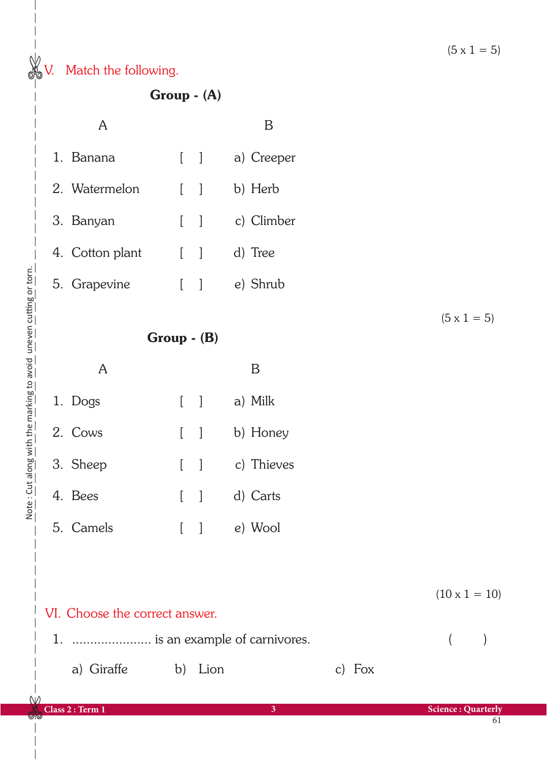

V. Match the following.

Group - (A)